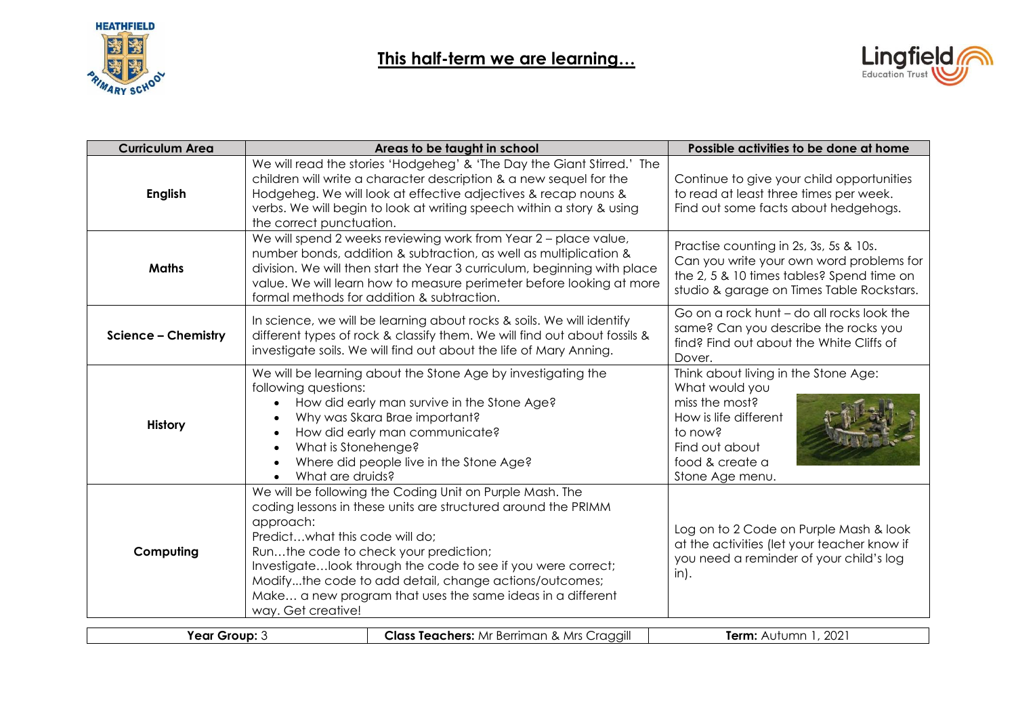

- 1



| <b>Curriculum Area</b>     |                                                                   | Areas to be taught in school                                                                                                                                                                                                                                                                                                                               | Possible activities to be done at home                                                                                                                                       |
|----------------------------|-------------------------------------------------------------------|------------------------------------------------------------------------------------------------------------------------------------------------------------------------------------------------------------------------------------------------------------------------------------------------------------------------------------------------------------|------------------------------------------------------------------------------------------------------------------------------------------------------------------------------|
| <b>English</b>             | the correct punctuation.                                          | We will read the stories 'Hodgeheg' & 'The Day the Giant Stirred.' The<br>children will write a character description & a new sequel for the<br>Hodgeheg. We will look at effective adjectives & recap nouns &<br>verbs. We will begin to look at writing speech within a story & using                                                                    | Continue to give your child opportunities<br>to read at least three times per week.<br>Find out some facts about hedgehogs.                                                  |
| <b>Maths</b>               |                                                                   | We will spend 2 weeks reviewing work from Year 2 - place value,<br>number bonds, addition & subtraction, as well as multiplication &<br>division. We will then start the Year 3 curriculum, beginning with place<br>value. We will learn how to measure perimeter before looking at more<br>formal methods for addition & subtraction.                     | Practise counting in 2s, 3s, 5s & 10s.<br>Can you write your own word problems for<br>the 2, 5 & 10 times tables? Spend time on<br>studio & garage on Times Table Rockstars. |
| <b>Science - Chemistry</b> |                                                                   | In science, we will be learning about rocks & soils. We will identify<br>different types of rock & classify them. We will find out about fossils &<br>investigate soils. We will find out about the life of Mary Anning.                                                                                                                                   | Go on a rock hunt - do all rocks look the<br>same? Can you describe the rocks you<br>find? Find out about the White Cliffs of<br>Dover.                                      |
| <b>History</b>             | following questions:<br>What is Stonehenge?<br>What are druids?   | We will be learning about the Stone Age by investigating the<br>How did early man survive in the Stone Age?<br>Why was Skara Brae important?<br>How did early man communicate?<br>Where did people live in the Stone Age?                                                                                                                                  | Think about living in the Stone Age:<br>What would you<br>miss the most?<br>How is life different<br>to now?<br>Find out about<br>food & create a<br>Stone Age menu.         |
| Computing                  | approach:<br>Predictwhat this code will do;<br>way. Get creative! | We will be following the Coding Unit on Purple Mash. The<br>coding lessons in these units are structured around the PRIMM<br>Runthe code to check your prediction;<br>Investigatelook through the code to see if you were correct;<br>Modifythe code to add detail, change actions/outcomes;<br>Make a new program that uses the same ideas in a different | Log on to 2 Code on Purple Mash & look<br>at the activities (let your teacher know if<br>you need a reminder of your child's log<br>$in$ ).                                  |
| Year Group: 3              |                                                                   | <b>Class Teachers:</b> Mr Berriman & Mrs Craggill                                                                                                                                                                                                                                                                                                          | Term: Autumn 1, 2021                                                                                                                                                         |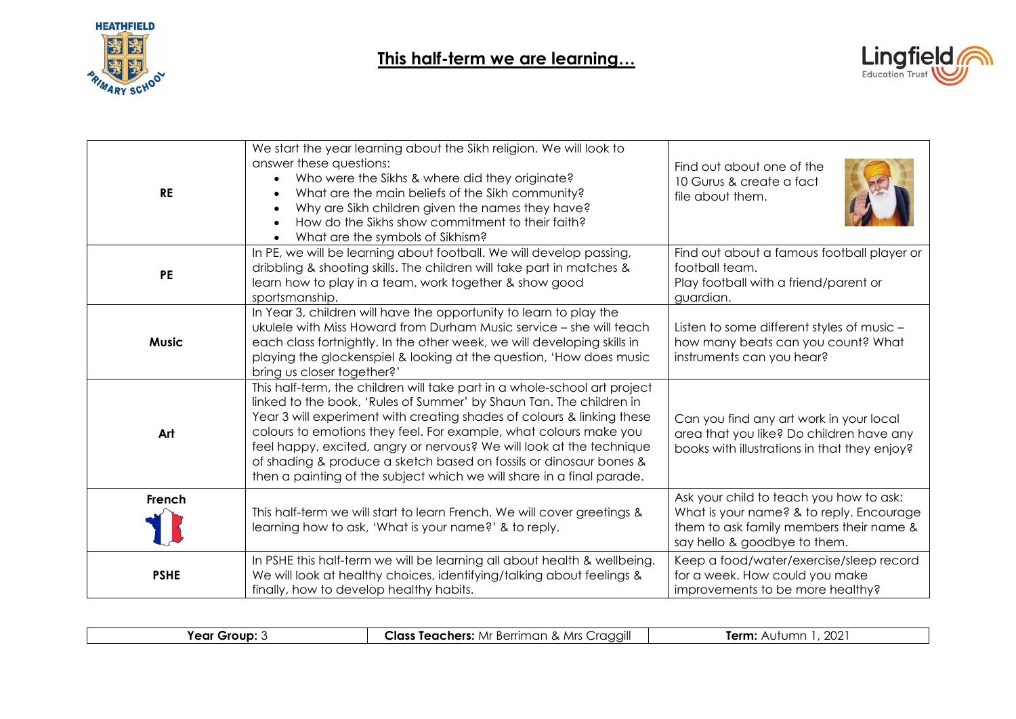



| <b>RE</b>    | We start the year learning about the Sikh religion. We will look to<br>answer these questions:<br>Who were the Sikhs & where did they originate?<br>What are the main beliefs of the Sikh community?<br>Why are Sikh children given the names they have?<br>How do the Sikhs show commitment to their faith?<br>What are the symbols of Sikhism?<br>$\bullet$                                                                                                                                                          | Find out about one of the<br>10 Gurus & create a fact<br>file about them.                                                                                      |
|--------------|------------------------------------------------------------------------------------------------------------------------------------------------------------------------------------------------------------------------------------------------------------------------------------------------------------------------------------------------------------------------------------------------------------------------------------------------------------------------------------------------------------------------|----------------------------------------------------------------------------------------------------------------------------------------------------------------|
| <b>PE</b>    | In PE, we will be learning about football. We will develop passing,<br>dribbling & shooting skills. The children will take part in matches &<br>learn how to play in a team, work together & show good<br>sportsmanship.                                                                                                                                                                                                                                                                                               | Find out about a famous football player or<br>football team.<br>Play football with a friend/parent or<br>guardian.                                             |
| <b>Music</b> | In Year 3, children will have the opportunity to learn to play the<br>ukulele with Miss Howard from Durham Music service - she will teach<br>each class fortnightly. In the other week, we will developing skills in<br>playing the glockenspiel & looking at the question, 'How does music<br>bring us closer together?'                                                                                                                                                                                              | Listen to some different styles of music -<br>how many beats can you count? What<br>instruments can you hear?                                                  |
| Art          | This half-term, the children will take part in a whole-school art project<br>linked to the book, 'Rules of Summer' by Shaun Tan. The children in<br>Year 3 will experiment with creating shades of colours & linking these<br>colours to emotions they feel. For example, what colours make you<br>feel happy, excited, angry or nervous? We will look at the technique<br>of shading & produce a sketch based on fossils or dinosaur bones &<br>then a painting of the subject which we will share in a final parade. | Can you find any art work in your local<br>area that you like? Do children have any<br>books with illustrations in that they enjoy?                            |
| French       | This half-term we will start to learn French. We will cover greetings &<br>learning how to ask, 'What is your name?' & to reply.                                                                                                                                                                                                                                                                                                                                                                                       | Ask your child to teach you how to ask:<br>What is your name? & to reply. Encourage<br>them to ask family members their name &<br>say hello & goodbye to them. |
| <b>PSHE</b>  | In PSHE this half-term we will be learning all about health & wellbeing.<br>We will look at healthy choices, identifying/talking about feelings &<br>finally, how to develop healthy habits.                                                                                                                                                                                                                                                                                                                           | Keep a food/water/exercise/sleep record<br>for a week. How could you make<br>improvements to be more healthy?                                                  |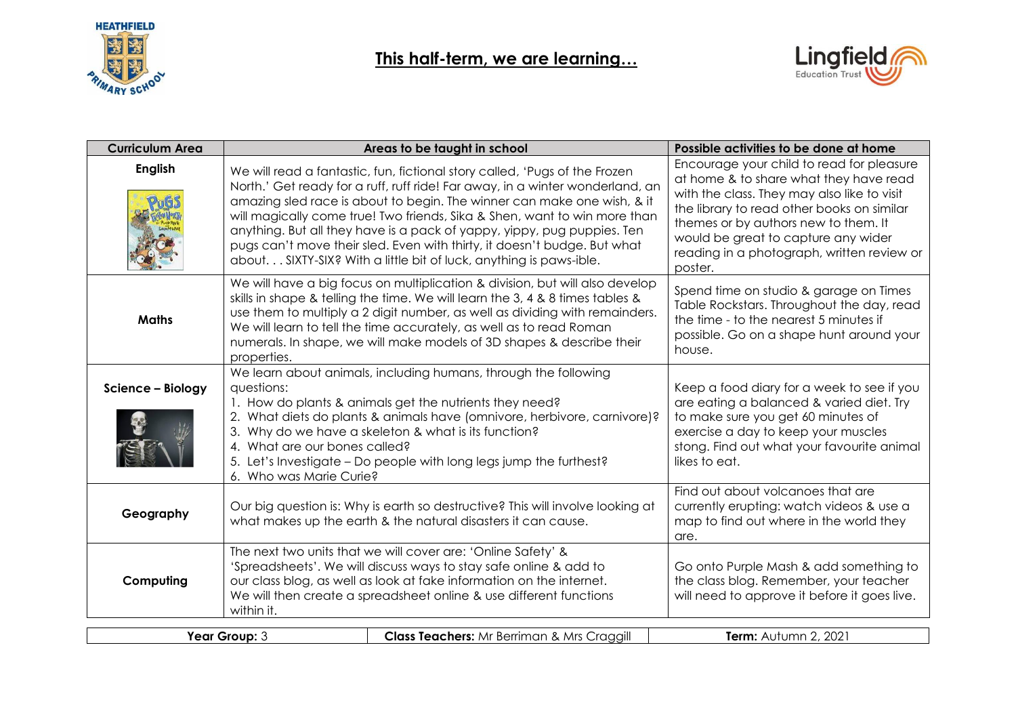



| <b>Curriculum Area</b> | Areas to be taught in school                                                                                                                                                                                                                                                                                                                                                                                                                                                                                                                     | Possible activities to be done at home                                                                                                                                                                                                                                                                                   |
|------------------------|--------------------------------------------------------------------------------------------------------------------------------------------------------------------------------------------------------------------------------------------------------------------------------------------------------------------------------------------------------------------------------------------------------------------------------------------------------------------------------------------------------------------------------------------------|--------------------------------------------------------------------------------------------------------------------------------------------------------------------------------------------------------------------------------------------------------------------------------------------------------------------------|
| <b>English</b>         | We will read a fantastic, fun, fictional story called, 'Pugs of the Frozen<br>North.' Get ready for a ruff, ruff ride! Far away, in a winter wonderland, an<br>amazing sled race is about to begin. The winner can make one wish, & it<br>will magically come true! Two friends, Sika & Shen, want to win more than<br>anything. But all they have is a pack of yappy, yippy, pug puppies. Ten<br>pugs can't move their sled. Even with thirty, it doesn't budge. But what<br>about SIXTY-SIX? With a little bit of luck, anything is paws-ible. | Encourage your child to read for pleasure<br>at home & to share what they have read<br>with the class. They may also like to visit<br>the library to read other books on similar<br>themes or by authors new to them. It<br>would be great to capture any wider<br>reading in a photograph, written review or<br>poster. |
| <b>Maths</b>           | We will have a big focus on multiplication & division, but will also develop<br>skills in shape & telling the time. We will learn the 3, 4 & 8 times tables &<br>use them to multiply a 2 digit number, as well as dividing with remainders.<br>We will learn to tell the time accurately, as well as to read Roman<br>numerals. In shape, we will make models of 3D shapes & describe their<br>properties.                                                                                                                                      | Spend time on studio & garage on Times<br>Table Rockstars. Throughout the day, read<br>the time - to the nearest 5 minutes if<br>possible. Go on a shape hunt around your<br>house.                                                                                                                                      |
| Science - Biology      | We learn about animals, including humans, through the following<br>questions:<br>1. How do plants & animals get the nutrients they need?<br>2. What diets do plants & animals have (omnivore, herbivore, carnivore)?<br>3. Why do we have a skeleton & what is its function?<br>4. What are our bones called?<br>5. Let's Investigate - Do people with long legs jump the furthest?<br>6. Who was Marie Curie?                                                                                                                                   | Keep a food diary for a week to see if you<br>are eating a balanced & varied diet. Try<br>to make sure you get 60 minutes of<br>exercise a day to keep your muscles<br>stong. Find out what your favourite animal<br>likes to eat.                                                                                       |
| Geography              | Our big question is: Why is earth so destructive? This will involve looking at<br>what makes up the earth & the natural disasters it can cause.                                                                                                                                                                                                                                                                                                                                                                                                  | Find out about volcanoes that are<br>currently erupting: watch videos & use a<br>map to find out where in the world they<br>are.                                                                                                                                                                                         |
| Computing              | The next two units that we will cover are: 'Online Safety' &<br>'Spreadsheets'. We will discuss ways to stay safe online & add to<br>our class blog, as well as look at fake information on the internet.<br>We will then create a spreadsheet online & use different functions<br>within it.                                                                                                                                                                                                                                                    | Go onto Purple Mash & add something to<br>the class blog. Remember, your teacher<br>will need to approve it before it goes live.                                                                                                                                                                                         |
|                        |                                                                                                                                                                                                                                                                                                                                                                                                                                                                                                                                                  | $\cdots$ $\cdots$ $\alpha$ $\alpha\alpha$                                                                                                                                                                                                                                                                                |

|  | Year Group: J | <b>Class Teachers:</b> Mr Berriman & Mrs Craggill<br>ごご | 2, 202<br>Term:<br>Autumn |
|--|---------------|---------------------------------------------------------|---------------------------|
|--|---------------|---------------------------------------------------------|---------------------------|